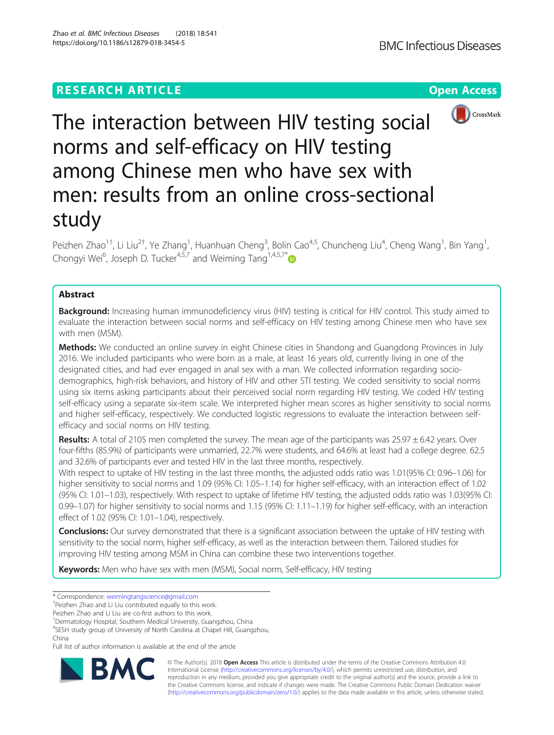https://doi.org/10.1186/s12879-018-3454-5

Zhao et al. BMC Infectious Diseases (2018) 18:541



The interaction between HIV testing social norms and self-efficacy on HIV testing among Chinese men who have sex with men: results from an online cross-sectional study

Peizhen Zhao<sup>1†</sup>, Li Liu<sup>2†</sup>, Ye Zhang<sup>1</sup>, Huanhuan Cheng<sup>3</sup>, Bolin Cao<sup>4,5</sup>, Chuncheng Liu<sup>4</sup>, Cheng Wang<sup>1</sup>, Bin Yang<sup>1</sup> , Chongyi Wei<sup>6</sup>, Joseph D. Tucker<sup>4,5,7</sup> and Weiming Tang<sup>1,4,5,7\*</sup>

# Abstract

**Background:** Increasing human immunodeficiency virus (HIV) testing is critical for HIV control. This study aimed to evaluate the interaction between social norms and self-efficacy on HIV testing among Chinese men who have sex with men (MSM).

Methods: We conducted an online survey in eight Chinese cities in Shandong and Guangdong Provinces in July 2016. We included participants who were born as a male, at least 16 years old, currently living in one of the designated cities, and had ever engaged in anal sex with a man. We collected information regarding sociodemographics, high-risk behaviors, and history of HIV and other STI testing. We coded sensitivity to social norms using six items asking participants about their perceived social norm regarding HIV testing. We coded HIV testing self-efficacy using a separate six-item scale. We interpreted higher mean scores as higher sensitivity to social norms and higher self-efficacy, respectively. We conducted logistic regressions to evaluate the interaction between selfefficacy and social norms on HIV testing.

**Results:** A total of 2105 men completed the survey. The mean age of the participants was  $25.97 \pm 6.42$  years. Over four-fifths (85.9%) of participants were unmarried, 22.7% were students, and 64.6% at least had a college degree. 62.5 and 32.6% of participants ever and tested HIV in the last three months, respectively.

With respect to uptake of HIV testing in the last three months, the adjusted odds ratio was 1.01(95% CI: 0.96–1.06) for higher sensitivity to social norms and 1.09 (95% CI: 1.05–1.14) for higher self-efficacy, with an interaction effect of 1.02 (95% CI: 1.01–1.03), respectively. With respect to uptake of lifetime HIV testing, the adjusted odds ratio was 1.03(95% CI: 0.99–1.07) for higher sensitivity to social norms and 1.15 (95% CI: 1.11–1.19) for higher self-efficacy, with an interaction effect of 1.02 (95% CI: 1.01–1.04), respectively.

Conclusions: Our survey demonstrated that there is a significant association between the uptake of HIV testing with sensitivity to the social norm, higher self-efficacy, as well as the interaction between them. Tailored studies for improving HIV testing among MSM in China can combine these two interventions together.

Keywords: Men who have sex with men (MSM), Social norm, Self-efficacy, HIV testing

<sup>1</sup>Dermatology Hospital, Southern Medical University, Guangzhou, China

4 SESH study group of University of North Carolina at Chapel Hill, Guangzhou, China

Full list of author information is available at the end of the article



© The Author(s). 2018 Open Access This article is distributed under the terms of the Creative Commons Attribution 4.0 International License [\(http://creativecommons.org/licenses/by/4.0/](http://creativecommons.org/licenses/by/4.0/)), which permits unrestricted use, distribution, and reproduction in any medium, provided you give appropriate credit to the original author(s) and the source, provide a link to the Creative Commons license, and indicate if changes were made. The Creative Commons Public Domain Dedication waiver [\(http://creativecommons.org/publicdomain/zero/1.0/](http://creativecommons.org/publicdomain/zero/1.0/)) applies to the data made available in this article, unless otherwise stated.

<sup>\*</sup> Correspondence: [weimingtangscience@gmail.com](mailto:weimingtangscience@gmail.com) †

<sup>&</sup>lt;sup>+</sup>Peizhen Zhao and Li Liu contributed equally to this work.

Peizhen Zhao and Li Liu are co-first authors to this work.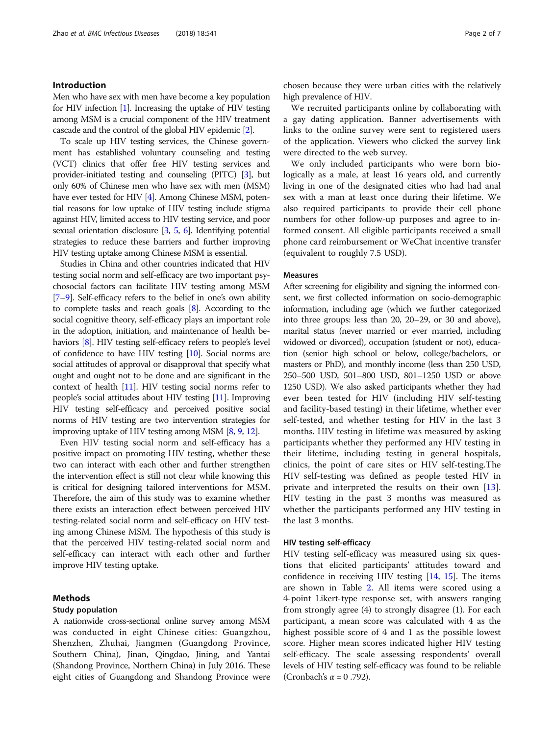# Introduction

Men who have sex with men have become a key population for HIV infection [\[1\]](#page-6-0). Increasing the uptake of HIV testing among MSM is a crucial component of the HIV treatment cascade and the control of the global HIV epidemic [\[2\]](#page-6-0).

To scale up HIV testing services, the Chinese government has established voluntary counseling and testing (VCT) clinics that offer free HIV testing services and provider-initiated testing and counseling (PITC) [\[3](#page-6-0)], but only 60% of Chinese men who have sex with men (MSM) have ever tested for HIV [[4](#page-6-0)]. Among Chinese MSM, potential reasons for low uptake of HIV testing include stigma against HIV, limited access to HIV testing service, and poor sexual orientation disclosure [[3](#page-6-0), [5,](#page-6-0) [6\]](#page-6-0). Identifying potential strategies to reduce these barriers and further improving HIV testing uptake among Chinese MSM is essential.

Studies in China and other countries indicated that HIV testing social norm and self-efficacy are two important psychosocial factors can facilitate HIV testing among MSM [[7](#page-6-0)–[9](#page-6-0)]. Self-efficacy refers to the belief in one's own ability to complete tasks and reach goals [[8\]](#page-6-0). According to the social cognitive theory, self-efficacy plays an important role in the adoption, initiation, and maintenance of health behaviors [\[8\]](#page-6-0). HIV testing self-efficacy refers to people's level of confidence to have HIV testing [\[10\]](#page-6-0). Social norms are social attitudes of approval or disapproval that specify what ought and ought not to be done and are significant in the context of health [\[11](#page-6-0)]. HIV testing social norms refer to people's social attitudes about HIV testing [\[11\]](#page-6-0). Improving HIV testing self-efficacy and perceived positive social norms of HIV testing are two intervention strategies for improving uptake of HIV testing among MSM [\[8,](#page-6-0) [9](#page-6-0), [12](#page-6-0)].

Even HIV testing social norm and self-efficacy has a positive impact on promoting HIV testing, whether these two can interact with each other and further strengthen the intervention effect is still not clear while knowing this is critical for designing tailored interventions for MSM. Therefore, the aim of this study was to examine whether there exists an interaction effect between perceived HIV testing-related social norm and self-efficacy on HIV testing among Chinese MSM. The hypothesis of this study is that the perceived HIV testing-related social norm and self-efficacy can interact with each other and further improve HIV testing uptake.

# Methods

## Study population

A nationwide cross-sectional online survey among MSM was conducted in eight Chinese cities: Guangzhou, Shenzhen, Zhuhai, Jiangmen (Guangdong Province, Southern China), Jinan, Qingdao, Jining, and Yantai (Shandong Province, Northern China) in July 2016. These eight cities of Guangdong and Shandong Province were

chosen because they were urban cities with the relatively high prevalence of HIV.

We recruited participants online by collaborating with a gay dating application. Banner advertisements with links to the online survey were sent to registered users of the application. Viewers who clicked the survey link were directed to the web survey.

We only included participants who were born biologically as a male, at least 16 years old, and currently living in one of the designated cities who had had anal sex with a man at least once during their lifetime. We also required participants to provide their cell phone numbers for other follow-up purposes and agree to informed consent. All eligible participants received a small phone card reimbursement or WeChat incentive transfer (equivalent to roughly 7.5 USD).

## Measures

After screening for eligibility and signing the informed consent, we first collected information on socio-demographic information, including age (which we further categorized into three groups: less than 20, 20–29, or 30 and above), marital status (never married or ever married, including widowed or divorced), occupation (student or not), education (senior high school or below, college/bachelors, or masters or PhD), and monthly income (less than 250 USD, 250–500 USD, 501–800 USD, 801–1250 USD or above 1250 USD). We also asked participants whether they had ever been tested for HIV (including HIV self-testing and facility-based testing) in their lifetime, whether ever self-tested, and whether testing for HIV in the last 3 months. HIV testing in lifetime was measured by asking participants whether they performed any HIV testing in their lifetime, including testing in general hospitals, clinics, the point of care sites or HIV self-testing.The HIV self-testing was defined as people tested HIV in private and interpreted the results on their own [\[13](#page-6-0)]. HIV testing in the past 3 months was measured as whether the participants performed any HIV testing in the last 3 months.

## HIV testing self-efficacy

HIV testing self-efficacy was measured using six questions that elicited participants' attitudes toward and confidence in receiving HIV testing [\[14](#page-6-0), [15](#page-6-0)]. The items are shown in Table [2](#page-3-0). All items were scored using a 4-point Likert-type response set, with answers ranging from strongly agree (4) to strongly disagree (1). For each participant, a mean score was calculated with 4 as the highest possible score of 4 and 1 as the possible lowest score. Higher mean scores indicated higher HIV testing self-efficacy. The scale assessing respondents' overall levels of HIV testing self-efficacy was found to be reliable (Cronbach's  $\alpha = 0.792$ ).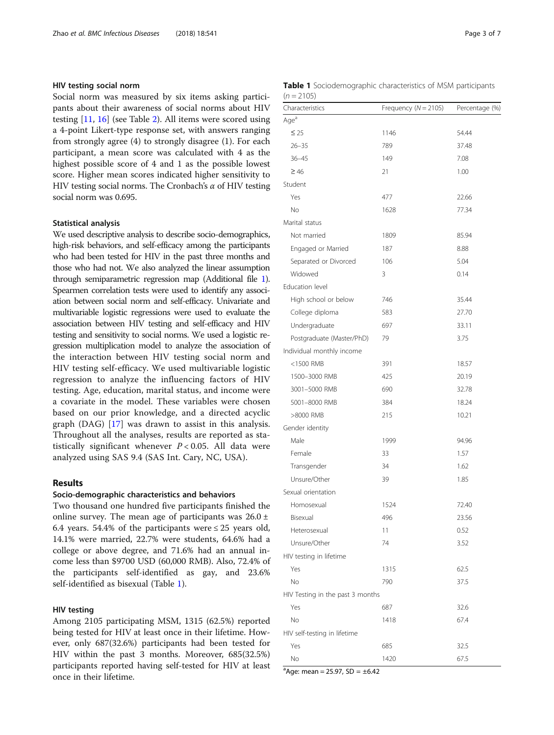# HIV testing social norm

Social norm was measured by six items asking participants about their awareness of social norms about HIV testing [[11,](#page-6-0) [16\]](#page-6-0) (see Table [2\)](#page-3-0). All items were scored using a 4-point Likert-type response set, with answers ranging from strongly agree (4) to strongly disagree (1). For each participant, a mean score was calculated with 4 as the highest possible score of 4 and 1 as the possible lowest score. Higher mean scores indicated higher sensitivity to HIV testing social norms. The Cronbach's  $\alpha$  of HIV testing social norm was 0.695.

# Statistical analysis

We used descriptive analysis to describe socio-demographics, high-risk behaviors, and self-efficacy among the participants who had been tested for HIV in the past three months and those who had not. We also analyzed the linear assumption through semiparametric regression map (Additional file [1\)](#page-5-0). Spearmen correlation tests were used to identify any association between social norm and self-efficacy. Univariate and multivariable logistic regressions were used to evaluate the association between HIV testing and self-efficacy and HIV testing and sensitivity to social norms. We used a logistic regression multiplication model to analyze the association of the interaction between HIV testing social norm and HIV testing self-efficacy. We used multivariable logistic regression to analyze the influencing factors of HIV testing. Age, education, marital status, and income were a covariate in the model. These variables were chosen based on our prior knowledge, and a directed acyclic graph (DAG) [[17\]](#page-6-0) was drawn to assist in this analysis. Throughout all the analyses, results are reported as statistically significant whenever  $P < 0.05$ . All data were analyzed using SAS 9.4 (SAS Int. Cary, NC, USA).

# Results

# Socio-demographic characteristics and behaviors

Two thousand one hundred five participants finished the online survey. The mean age of participants was  $26.0 \pm$ 6.4 years. 54.4% of the participants were  $\leq 25$  years old, 14.1% were married, 22.7% were students, 64.6% had a college or above degree, and 71.6% had an annual income less than \$9700 USD (60,000 RMB). Also, 72.4% of the participants self-identified as gay, and 23.6% self-identified as bisexual (Table 1).

# HIV testing

Among 2105 participating MSM, 1315 (62.5%) reported being tested for HIV at least once in their lifetime. However, only 687(32.6%) participants had been tested for HIV within the past 3 months. Moreover, 685(32.5%) participants reported having self-tested for HIV at least once in their lifetime.

| Page 3 of 7 |  |  |
|-------------|--|--|
|             |  |  |

|              | <b>Table 1</b> Sociodemographic characteristics of MSM participants |  |  |
|--------------|---------------------------------------------------------------------|--|--|
| $(n = 2105)$ |                                                                     |  |  |

| Characteristics                  | Frequency ( $N = 2105$ ) | Percentage (%) |
|----------------------------------|--------------------------|----------------|
| Age <sup>a</sup>                 |                          |                |
| $\leq 25$                        | 1146                     | 54.44          |
| $26 - 35$                        | 789                      | 37.48          |
| $36 - 45$                        | 149                      | 7.08           |
| $\geq 46$                        | 21                       | 1.00           |
| Student                          |                          |                |
| Yes                              | 477                      | 22.66          |
| No                               | 1628                     | 77.34          |
| Marital status                   |                          |                |
| Not married                      | 1809                     | 85.94          |
| Engaged or Married               | 187                      | 8.88           |
| Separated or Divorced            | 106                      | 5.04           |
| Widowed                          | 3                        | 0.14           |
| Education level                  |                          |                |
| High school or below             | 746                      | 35.44          |
| College diploma                  | 583                      | 27.70          |
| Undergraduate                    | 697                      | 33.11          |
| Postgraduate (Master/PhD)        | 79                       | 3.75           |
| Individual monthly income        |                          |                |
| <1500 RMB                        | 391                      | 18.57          |
| 1500-3000 RMB                    | 425                      | 20.19          |
| 3001-5000 RMB                    | 690                      | 32.78          |
| 5001-8000 RMB                    | 384                      | 18.24          |
| >8000 RMB                        | 215                      | 10.21          |
| Gender identity                  |                          |                |
| Male                             | 1999                     | 94.96          |
| Female                           | 33                       | 1.57           |
| Transgender                      | 34                       | 1.62           |
| Unsure/Other                     | 39                       | 1.85           |
| Sexual orientation               |                          |                |
| Homosexual                       | 1524                     | 72.40          |
| Bisexual                         | 496                      | 23.56          |
| Heterosexual                     | 11                       | 0.52           |
| Unsure/Other                     | 74                       | 3.52           |
| HIV testing in lifetime          |                          |                |
| Yes                              | 1315                     | 62.5           |
| No                               | 790                      | 37.5           |
| HIV Testing in the past 3 months |                          |                |
| Yes                              | 687                      | 32.6           |
| No                               | 1418                     | 67.4           |
| HIV self-testing in lifetime     |                          |                |
| Yes                              | 685                      | 32.5           |
| No                               | 1420                     | 67.5           |

 $a^a$ Age: mean = 25.97, SD =  $\pm$ 6.42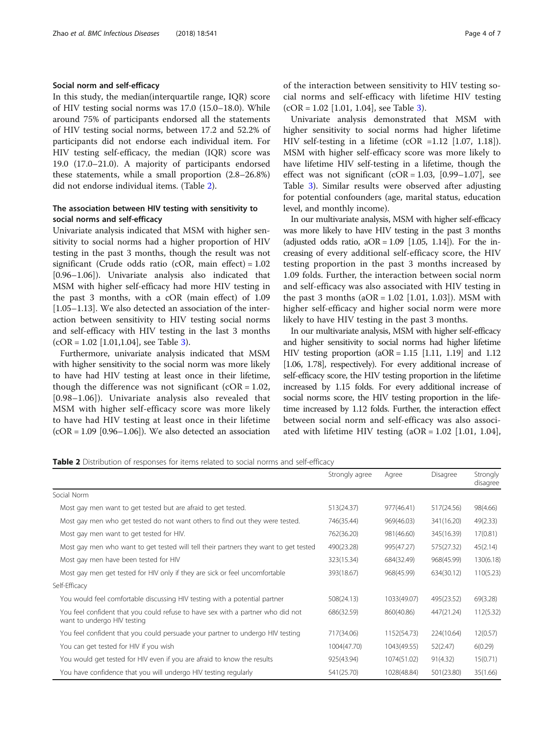# <span id="page-3-0"></span>Social norm and self-efficacy

In this study, the median(interquartile range, IQR) score of HIV testing social norms was 17.0 (15.0–18.0). While around 75% of participants endorsed all the statements of HIV testing social norms, between 17.2 and 52.2% of participants did not endorse each individual item. For HIV testing self-efficacy, the median (IQR) score was 19.0 (17.0–21.0). A majority of participants endorsed these statements, while a small proportion (2.8–26.8%) did not endorse individual items. (Table 2).

# The association between HIV testing with sensitivity to social norms and self-efficacy

Univariate analysis indicated that MSM with higher sensitivity to social norms had a higher proportion of HIV testing in the past 3 months, though the result was not significant (Crude odds ratio (cOR, main effect) = 1.02 [0.96–1.06]). Univariate analysis also indicated that MSM with higher self-efficacy had more HIV testing in the past 3 months, with a cOR (main effect) of 1.09 [1.05–1.13]. We also detected an association of the interaction between sensitivity to HIV testing social norms and self-efficacy with HIV testing in the last 3 months  $(COR = 1.02$  [1.01,1.04], see Table [3\)](#page-4-0).

Furthermore, univariate analysis indicated that MSM with higher sensitivity to the social norm was more likely to have had HIV testing at least once in their lifetime, though the difference was not significant  $(COR = 1.02$ , [0.98–1.06]). Univariate analysis also revealed that MSM with higher self-efficacy score was more likely to have had HIV testing at least once in their lifetime  $(COR = 1.09$  [0.96–1.06]). We also detected an association of the interaction between sensitivity to HIV testing social norms and self-efficacy with lifetime HIV testing  $(COR = 1.02$  [1.01, 1.04], see Table [3](#page-4-0)).

Univariate analysis demonstrated that MSM with higher sensitivity to social norms had higher lifetime HIV self-testing in a lifetime (cOR =1.12 [1.07, 1.18]). MSM with higher self-efficacy score was more likely to have lifetime HIV self-testing in a lifetime, though the effect was not significant  $(COR = 1.03, [0.99-1.07],$  see Table [3\)](#page-4-0). Similar results were observed after adjusting for potential confounders (age, marital status, education level, and monthly income).

In our multivariate analysis, MSM with higher self-efficacy was more likely to have HIV testing in the past 3 months (adjusted odds ratio,  $aOR = 1.09$  [1.05, 1.14]). For the increasing of every additional self-efficacy score, the HIV testing proportion in the past 3 months increased by 1.09 folds. Further, the interaction between social norm and self-efficacy was also associated with HIV testing in the past 3 months  $(aOR = 1.02$  [1.01, 1.03]). MSM with higher self-efficacy and higher social norm were more likely to have HIV testing in the past 3 months.

In our multivariate analysis, MSM with higher self-efficacy and higher sensitivity to social norms had higher lifetime HIV testing proportion  $(aOR = 1.15 [1.11, 1.19]$  and 1.12 [1.06, 1.78], respectively). For every additional increase of self-efficacy score, the HIV testing proportion in the lifetime increased by 1.15 folds. For every additional increase of social norms score, the HIV testing proportion in the lifetime increased by 1.12 folds. Further, the interaction effect between social norm and self-efficacy was also associated with lifetime HIV testing  $(aOR = 1.02$  [1.01, 1.04],

| Table 2 Distribution of responses for items related to social norms and self-efficacy |  |  |  |  |  |  |  |  |
|---------------------------------------------------------------------------------------|--|--|--|--|--|--|--|--|
|---------------------------------------------------------------------------------------|--|--|--|--|--|--|--|--|

|                                                                                                                | Strongly agree |             | Disagree   | Strongly  |
|----------------------------------------------------------------------------------------------------------------|----------------|-------------|------------|-----------|
|                                                                                                                |                | Agree       |            | disagree  |
| Social Norm                                                                                                    |                |             |            |           |
| Most gay men want to get tested but are afraid to get tested.                                                  | 513(24.37)     | 977(46.41)  | 517(24.56) | 98(4.66)  |
| Most gay men who get tested do not want others to find out they were tested.                                   | 746(35.44)     | 969(46.03)  | 341(16.20) | 49(2.33)  |
| Most gay men want to get tested for HIV.                                                                       | 762(36.20)     | 981(46.60)  | 345(16.39) | 17(0.81)  |
| Most gay men who want to get tested will tell their partners they want to get tested                           | 490(23.28)     | 995(47.27)  | 575(27.32) | 45(2.14)  |
| Most gay men have been tested for HIV                                                                          | 323(15.34)     | 684(32.49)  | 968(45.99) | 130(6.18) |
| Most gay men get tested for HIV only if they are sick or feel uncomfortable                                    | 393(18.67)     | 968(45.99)  | 634(30.12) | 110(5.23) |
| Self-Efficacy                                                                                                  |                |             |            |           |
| You would feel comfortable discussing HIV testing with a potential partner                                     | 508(24.13)     | 1033(49.07) | 495(23.52) | 69(3.28)  |
| You feel confident that you could refuse to have sex with a partner who did not<br>want to undergo HIV testing | 686(32.59)     | 860(40.86)  | 447(21.24) | 112(5.32) |
| You feel confident that you could persuade your partner to undergo HIV testing                                 | 717(34.06)     | 1152(54.73) | 224(10.64) | 12(0.57)  |
| You can get tested for HIV if you wish                                                                         | 1004(47.70)    | 1043(49.55) | 52(2.47)   | 6(0.29)   |
| You would get tested for HIV even if you are afraid to know the results                                        | 925(43.94)     | 1074(51.02) | 91(4.32)   | 15(0.71)  |
| You have confidence that you will undergo HIV testing regularly                                                | 541(25.70)     | 1028(48.84) | 501(23.80) | 35(1.66)  |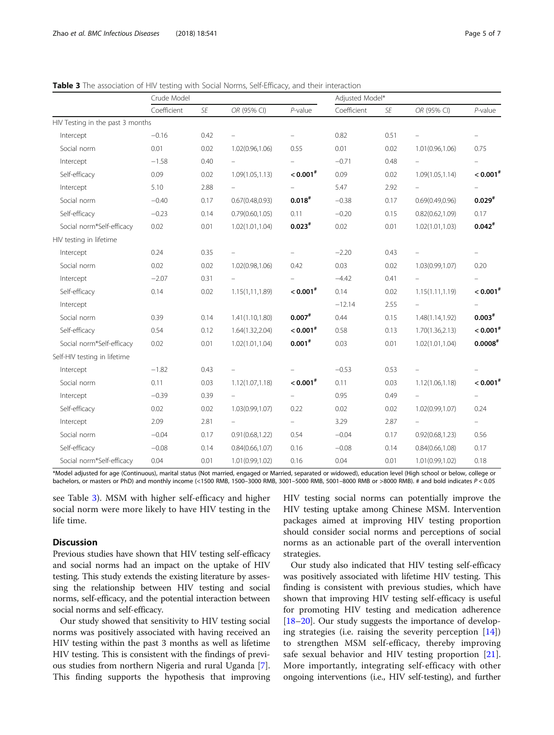<span id="page-4-0"></span>

|  |  | Table 3 The association of HIV testing with Social Norms, Self-Efficacy, and their interaction |
|--|--|------------------------------------------------------------------------------------------------|
|  |  |                                                                                                |

|                                  | Crude Model |      |                          |                        | Adjusted Model* |      |                  |                          |
|----------------------------------|-------------|------|--------------------------|------------------------|-----------------|------|------------------|--------------------------|
|                                  | Coefficient | SE   | OR (95% CI)              | $P$ -value             | Coefficient     | SE   | OR (95% CI)      | $P$ -value               |
| HIV Testing in the past 3 months |             |      |                          |                        |                 |      |                  |                          |
| Intercept                        | $-0.16$     | 0.42 |                          |                        | 0.82            | 0.51 |                  | $\overline{\phantom{0}}$ |
| Social norm                      | 0.01        | 0.02 | 1.02(0.96,1.06)          | 0.55                   | 0.01            | 0.02 | 1.01(0.96, 1.06) | 0.75                     |
| Intercept                        | $-1.58$     | 0.40 |                          |                        | $-0.71$         | 0.48 |                  |                          |
| Self-efficacy                    | 0.09        | 0.02 | 1.09(1.05, 1.13)         | $< 0.001$ #            | 0.09            | 0.02 | 1.09(1.05, 1.14) | $< 0.001$ <sup>#</sup>   |
| Intercept                        | 5.10        | 2.88 |                          | ÷                      | 5.47            | 2.92 |                  |                          |
| Social norm                      | $-0.40$     | 0.17 | 0.67(0.48, 0.93)         | $0.018^{#}$            | $-0.38$         | 0.17 | 0.69(0.49, 0.96) | $0.029$ <sup>#</sup>     |
| Self-efficacy                    | $-0.23$     | 0.14 | 0.79(0.60, 1.05)         | 0.11                   | $-0.20$         | 0.15 | 0.82(0.62, 1.09) | 0.17                     |
| Social norm*Self-efficacy        | 0.02        | 0.01 | 1.02(1.01, 1.04)         | $0.023*$               | 0.02            | 0.01 | 1.02(1.01, 1.03) | $0.042*$                 |
| HIV testing in lifetime          |             |      |                          |                        |                 |      |                  |                          |
| Intercept                        | 0.24        | 0.35 |                          |                        | $-2.20$         | 0.43 |                  |                          |
| Social norm                      | 0.02        | 0.02 | 1.02(0.98,1.06)          | 0.42                   | 0.03            | 0.02 | 1.03(0.99, 1.07) | 0.20                     |
| Intercept                        | $-2.07$     | 0.31 |                          |                        | $-4.42$         | 0.41 |                  |                          |
| Self-efficacy                    | 0.14        | 0.02 | 1.15(1,11,1.89)          | $< 0.001$ <sup>#</sup> | 0.14            | 0.02 | 1.15(1.11, 1.19) | $< 0.001$ <sup>#</sup>   |
| Intercept                        |             |      |                          |                        | $-12.14$        | 2.55 |                  |                          |
| Social norm                      | 0.39        | 0.14 | 1.41(1.10, 1.80)         | $0.007$ #              | 0.44            | 0.15 | 1.48(1.14,1.92)  | $0.003*$                 |
| Self-efficacy                    | 0.54        | 0.12 | 1.64(1.32,2.04)          | $< 0.001$ <sup>#</sup> | 0.58            | 0.13 | 1.70(1.36, 2.13) | $< 0.001$ <sup>#</sup>   |
| Social norm*Self-efficacy        | 0.02        | 0.01 | 1.02(1.01, 1.04)         | $0.001$ #              | 0.03            | 0.01 | 1.02(1.01, 1.04) | 0.0008"                  |
| Self-HIV testing in lifetime     |             |      |                          |                        |                 |      |                  |                          |
| Intercept                        | $-1.82$     | 0.43 |                          |                        | $-0.53$         | 0.53 |                  |                          |
| Social norm                      | 0.11        | 0.03 | 1.12(1.07, 1.18)         | $< 0.001$ #            | 0.11            | 0.03 | 1.12(1.06, 1.18) | $< 0.001$ <sup>#</sup>   |
| Intercept                        | $-0.39$     | 0.39 | $\overline{\phantom{a}}$ |                        | 0.95            | 0.49 |                  | $\overline{\phantom{0}}$ |
| Self-efficacy                    | 0.02        | 0.02 | 1.03(0.99,1.07)          | 0.22                   | 0.02            | 0.02 | 1.02(0.99, 1.07) | 0.24                     |
| Intercept                        | 2.09        | 2.81 |                          | $\qquad \qquad -$      | 3.29            | 2.87 |                  | $\overline{\phantom{a}}$ |
| Social norm                      | $-0.04$     | 0.17 | 0.91(0.68, 1.22)         | 0.54                   | $-0.04$         | 0.17 | 0.92(0.68, 1.23) | 0.56                     |
| Self-efficacy                    | $-0.08$     | 0.14 | 0.84(0.66, 1.07)         | 0.16                   | $-0.08$         | 0.14 | 0.84(0.66, 1.08) | 0.17                     |
| Social norm*Self-efficacy        | 0.04        | 0.01 | 1.01(0.99,1.02)          | 0.16                   | 0.04            | 0.01 | 1.01(0.99,1.02)  | 0.18                     |

\*Model adjusted for age (Continuous), marital status (Not married, engaged or Married, separated or widowed), education level (High school or below, college or bachelors, or masters or PhD) and monthly income (<1500 RMB, 1500–3000 RMB, 3001–5000 RMB, 5001–8000 RMB or >8000 RMB). # and bold indicates P < 0.05

see Table 3). MSM with higher self-efficacy and higher social norm were more likely to have HIV testing in the life time.

# Discussion

Previous studies have shown that HIV testing self-efficacy and social norms had an impact on the uptake of HIV testing. This study extends the existing literature by assessing the relationship between HIV testing and social norms, self-efficacy, and the potential interaction between social norms and self-efficacy.

Our study showed that sensitivity to HIV testing social norms was positively associated with having received an HIV testing within the past 3 months as well as lifetime HIV testing. This is consistent with the findings of previous studies from northern Nigeria and rural Uganda [\[7](#page-6-0)]. This finding supports the hypothesis that improving HIV testing social norms can potentially improve the HIV testing uptake among Chinese MSM. Intervention packages aimed at improving HIV testing proportion should consider social norms and perceptions of social norms as an actionable part of the overall intervention strategies.

Our study also indicated that HIV testing self-efficacy was positively associated with lifetime HIV testing. This finding is consistent with previous studies, which have shown that improving HIV testing self-efficacy is useful for promoting HIV testing and medication adherence [[18](#page-6-0)–[20](#page-6-0)]. Our study suggests the importance of developing strategies (i.e. raising the severity perception  $[14]$  $[14]$ ) to strengthen MSM self-efficacy, thereby improving safe sexual behavior and HIV testing proportion [\[21](#page-6-0)]. More importantly, integrating self-efficacy with other ongoing interventions (i.e., HIV self-testing), and further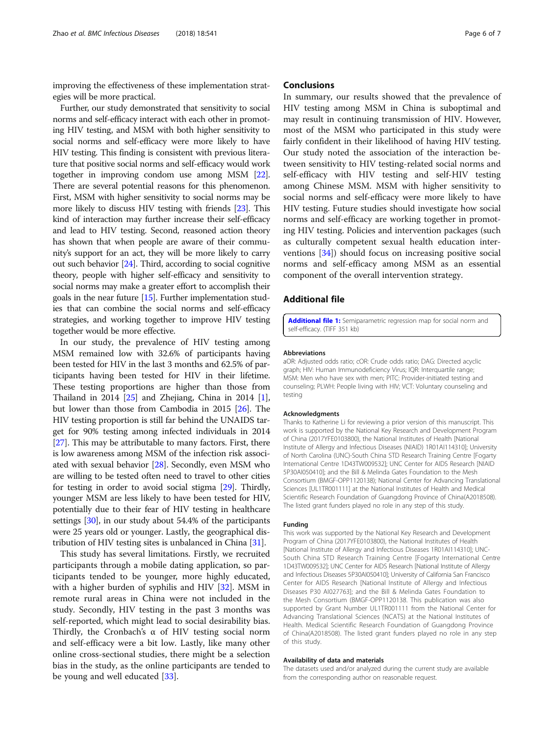<span id="page-5-0"></span>improving the effectiveness of these implementation strategies will be more practical.

Further, our study demonstrated that sensitivity to social norms and self-efficacy interact with each other in promoting HIV testing, and MSM with both higher sensitivity to social norms and self-efficacy were more likely to have HIV testing. This finding is consistent with previous literature that positive social norms and self-efficacy would work together in improving condom use among MSM [\[22](#page-6-0)]. There are several potential reasons for this phenomenon. First, MSM with higher sensitivity to social norms may be more likely to discuss HIV testing with friends [[23](#page-6-0)]. This kind of interaction may further increase their self-efficacy and lead to HIV testing. Second, reasoned action theory has shown that when people are aware of their community's support for an act, they will be more likely to carry out such behavior [\[24\]](#page-6-0). Third, according to social cognitive theory, people with higher self-efficacy and sensitivity to social norms may make a greater effort to accomplish their goals in the near future [[15](#page-6-0)]. Further implementation studies that can combine the social norms and self-efficacy strategies, and working together to improve HIV testing together would be more effective.

In our study, the prevalence of HIV testing among MSM remained low with 32.6% of participants having been tested for HIV in the last 3 months and 62.5% of participants having been tested for HIV in their lifetime. These testing proportions are higher than those from Thailand in 20[1](#page-6-0)4  $[25]$  $[25]$  $[25]$  and Zhejiang, China in 2014  $[1]$ , but lower than those from Cambodia in 2015 [[26](#page-6-0)]. The HIV testing proportion is still far behind the UNAIDS target for 90% testing among infected individuals in 2014 [[27](#page-6-0)]. This may be attributable to many factors. First, there is low awareness among MSM of the infection risk associated with sexual behavior [\[28\]](#page-6-0). Secondly, even MSM who are willing to be tested often need to travel to other cities for testing in order to avoid social stigma [[29](#page-6-0)]. Thirdly, younger MSM are less likely to have been tested for HIV, potentially due to their fear of HIV testing in healthcare settings [\[30\]](#page-6-0), in our study about 54.4% of the participants were 25 years old or younger. Lastly, the geographical distribution of HIV testing sites is unbalanced in China [\[31](#page-6-0)].

This study has several limitations. Firstly, we recruited participants through a mobile dating application, so participants tended to be younger, more highly educated, with a higher burden of syphilis and HIV [[32\]](#page-6-0). MSM in remote rural areas in China were not included in the study. Secondly, HIV testing in the past 3 months was self-reported, which might lead to social desirability bias. Thirdly, the Cronbach's  $\alpha$  of HIV testing social norm and self-efficacy were a bit low. Lastly, like many other online cross-sectional studies, there might be a selection bias in the study, as the online participants are tended to be young and well educated [[33\]](#page-6-0).

# **Conclusions**

In summary, our results showed that the prevalence of HIV testing among MSM in China is suboptimal and may result in continuing transmission of HIV. However, most of the MSM who participated in this study were fairly confident in their likelihood of having HIV testing. Our study noted the association of the interaction between sensitivity to HIV testing-related social norms and self-efficacy with HIV testing and self-HIV testing among Chinese MSM. MSM with higher sensitivity to social norms and self-efficacy were more likely to have HIV testing. Future studies should investigate how social norms and self-efficacy are working together in promoting HIV testing. Policies and intervention packages (such as culturally competent sexual health education interventions [[34\]](#page-6-0)) should focus on increasing positive social norms and self-efficacy among MSM as an essential component of the overall intervention strategy.

# Additional file

[Additional file 1:](https://doi.org/10.1186/s12879-018-3454-5) Semiparametric regression map for social norm and self-efficacy. (TIFF 351 kb)

## Abbreviations

aOR: Adjusted odds ratio; cOR: Crude odds ratio; DAG: Directed acyclic graph; HIV: Human Immunodeficiency Virus; IQR: Interquartile range; MSM: Men who have sex with men; PITC: Provider-initiated testing and counseling; PLWH: People living with HIV; VCT: Voluntary counseling and testing

## Acknowledgments

Thanks to Katherine Li for reviewing a prior version of this manuscript. This work is supported by the National Key Research and Development Program of China (2017YFE0103800), the National Institutes of Health [National Institute of Allergy and Infectious Diseases (NIAID) 1R01AI114310]; University of North Carolina (UNC)-South China STD Research Training Centre [Fogarty International Centre 1D43TW009532]; UNC Center for AIDS Research [NIAID 5P30AI050410]; and the Bill & Melinda Gates Foundation to the Mesh Consortium (BMGF-OPP1120138); National Center for Advancing Translational Sciences [UL1TR001111] at the National Institutes of Health and Medical Scientific Research Foundation of Guangdong Province of China(A2018508). The listed grant funders played no role in any step of this study.

#### Funding

This work was supported by the National Key Research and Development Program of China (2017YFE0103800), the National Institutes of Health [National Institute of Allergy and Infectious Diseases 1R01AI114310]; UNC-South China STD Research Training Centre [Fogarty International Centre 1D43TW009532]; UNC Center for AIDS Research [National Institute of Allergy and Infectious Diseases 5P30AI050410]; University of California San Francisco Center for AIDS Research [National Institute of Allergy and Infectious Diseases P30 AI027763]; and the Bill & Melinda Gates Foundation to the Mesh Consortium (BMGF-OPP1120138. This publication was also supported by Grant Number UL1TR001111 from the National Center for Advancing Translational Sciences (NCATS) at the National Institutes of Health. Medical Scientific Research Foundation of Guangdong Province of China(A2018508). The listed grant funders played no role in any step of this study.

# Availability of data and materials

The datasets used and/or analyzed during the current study are available from the corresponding author on reasonable request.